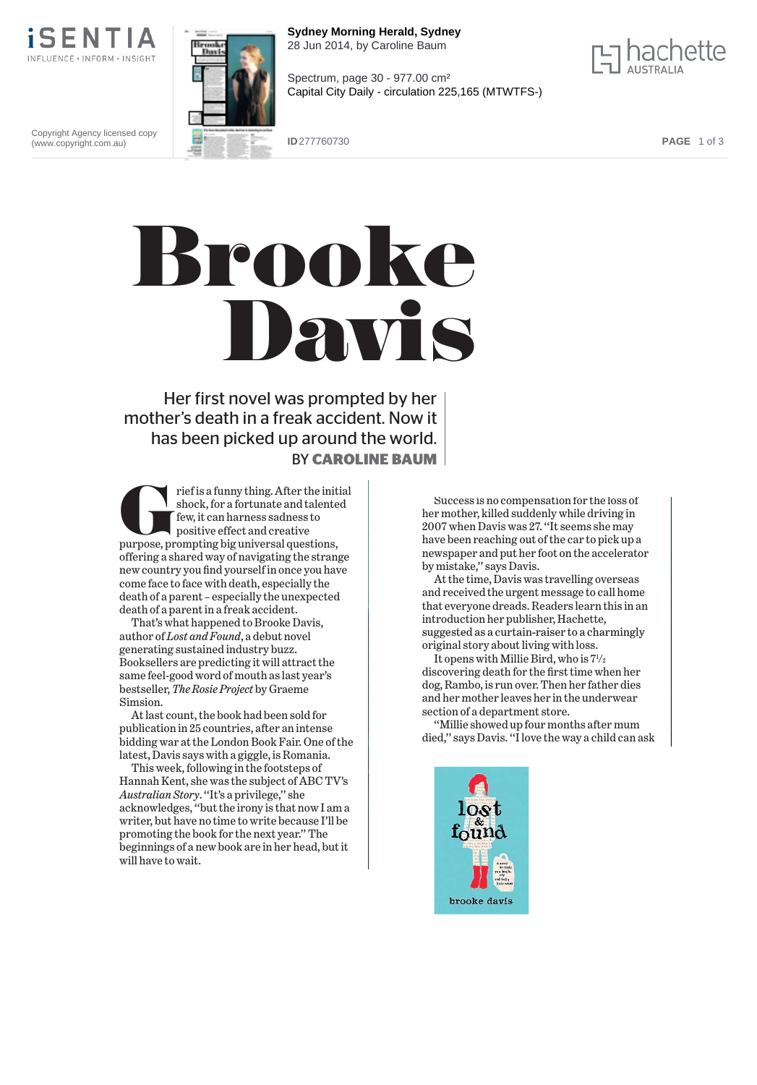

**Sydney Morning Herald, Sydney** 28 Jun 2014, by Caroline Baum



Copyright Agency licensed copy (www.copyright.com.au)



Spectrum, page 30 - 977.00 cm² Capital City Daily - circulation 225,165 (MTWTFS-)

**ID** 277760730 **PAGE** 1 of 3

## Brooke Davis

Her first novel was prompted by her mother's death in a freak accident. Now it has been picked up around the world. BY **CAROLINE BAUM**

rief is a funny thing. After the initial<br>shock, for a fortunate and talented<br>few, it can harness sadness to<br>nositive effect and creative shock, for a fortunate and talented few, it can harness sadness to positive effect and creative purpose, prompting big universal questions, offering a shared way of navigating the strange new country you find yourself in once you have come face to face with death, especially the death of a parent – especially the unexpected death of a parent in a freak accident.

That's what happened to Brooke Davis, author of *Lost and Found*, a debut novel generating sustained industry buzz. Booksellers are predicting it will attract the same feel-good word of mouth as last year's bestseller, *The Rosie Project* by Graeme Simsion.

At last count, the book had been sold for publication in 25 countries, after an intense bidding war at the London Book Fair. One of the latest, Davis says with a giggle, is Romania.

This week, following in the footsteps of Hannah Kent, she was the subject of ABC TV's *Australian Story*. ''It's a privilege,'' she acknowledges, ''but the irony is that now I am a writer, but have no time to write because I'll be promoting the book for the next year.'' The beginnings of a new book are in her head, but it will have to wait.

Success is no compensation for the loss of her mother, killed suddenly while driving in 2007 when Davis was 27. ''It seems she may have been reaching out of the car to pick up a newspaper and put her foot on the accelerator by mistake,'' says Davis.

At the time, Davis was travelling overseas and received the urgent message to call home that everyone dreads. Readers learn this in an introduction her publisher, Hachette, suggested as a curtain-raiser to a charmingly original story about living with loss.

It opens with Millie Bird, who is  $7\frac{1}{2}$ discovering death for the first time when her dog, Rambo, is run over. Then her father dies and her mother leaves her in the underwear section of a department store.

''Millie showed up four months after mum died,'' says Davis. ''I love the way a child can ask

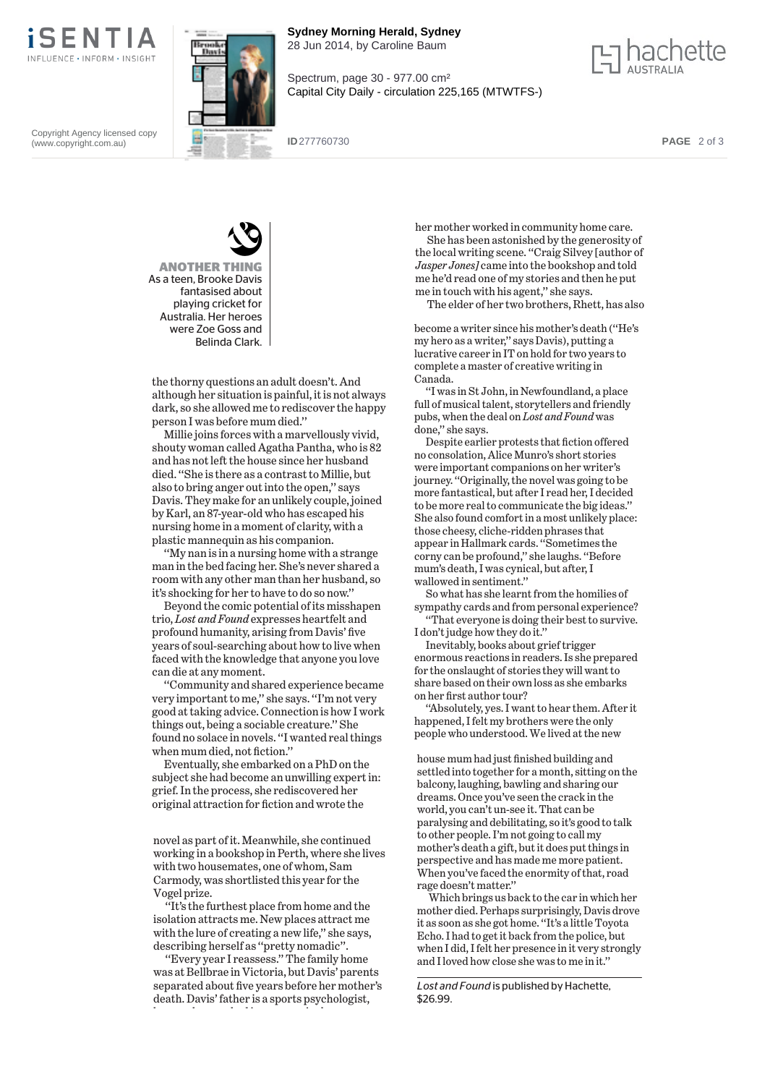

**Sydney Morning Herald, Sydney** 28 Jun 2014, by Caroline Baum



Copyright Agency licensed copy (www.copyright.com.au)

Spectrum, page 30 - 977.00 cm² Capital City Daily - circulation 225,165 (MTWTFS-)

**ID** 277760730 **PAGE** 2 of 3

 $\mathcal{S}$ **ANOTHER THING** As a teen, Brooke Davis fantasised about playing cricket for Australia. Her heroes were Zoe Goss and Belinda Clark.

the thorny questions an adult doesn't. And although her situation is painful, it is not always dark, so she allowed me to rediscover the happy person I was before mum died.''

Millie joins forces with a marvellously vivid, shouty woman called Agatha Pantha, who is 82 and has not left the house since her husband died. ''She is there as a contrast to Millie, but also to bring anger out into the open,'' says Davis. They make for an unlikely couple, joined by Karl, an 87-year-old who has escaped his nursing home in a moment of clarity, with a plastic mannequin as his companion.

''My nan is in a nursing home with a strange man in the bed facing her. She's never shared a room with any other man than her husband, so it's shocking for her to have to do so now.''

Beyond the comic potential of its misshapen trio, *Lost and Found* expresses heartfelt and profound humanity, arising from Davis' five years of soul-searching about how to live when faced with the knowledge that anyone you love can die at any moment.

''Community and shared experience became very important to me,'' she says. ''I'm not very good at taking advice. Connection is how I work things out, being a sociable creature.'' She found no solace in novels. ''I wanted real things when mum died, not fiction.''

Eventually, she embarked on a PhD on the subject she had become an unwilling expert in: grief. In the process, she rediscovered her original attraction for fiction and wrote the

novel as part of it. Meanwhile, she continued working in a bookshop in Perth, where she lives with two housemates, one of whom, Sam Carmody, was shortlisted this year for the Vogel prize.

''It's the furthest place from home and the isolation attracts me. New places attract me with the lure of creating a new life,'' she says, describing herself as ''pretty nomadic''.

''Every year I reassess.'' The family home was at Bellbrae in Victoria, but Davis' parents separated about five years before her mother's death. Davis' father is a sports psychologist, h h k di i h k di i h k di i h k di i h k di i h k di i h k di i h k di i h k di i h k di i h k di i<br>H k di i h k di i h k di i h k di i h k di i h k di i h k di i h k di i h k di i h k di i h k di i h k di i h

her mother worked in community home care. She has been astonished by the generosity of

the local writing scene. ''Craig Silvey [author of *Jasper Jones]* came into the bookshop and told me he'd read one of my stories and then he put me in touch with his agent,'' she says. The elder of her two brothers, Rhett, has also

become a writer since his mother's death (''He's my hero as a writer,'' says Davis), putting a lucrative career in IT on hold for two years to complete a master of creative writing in Canada.

''I was in St John, in Newfoundland, a place full of musical talent, storytellers and friendly pubs, when the deal on *Lost and Found* was done,'' she says.

Despite earlier protests that fiction offered no consolation, Alice Munro's short stories were important companions on her writer's journey. ''Originally, the novel was going to be more fantastical, but after I read her, I decided to be more real to communicate the big ideas.'' She also found comfort in a most unlikely place: those cheesy, cliche-ridden phrases that appear in Hallmark cards. ''Sometimes the corny can be profound,'' she laughs. ''Before mum's death, I was cynical, but after, I wallowed in sentiment.''

So what has she learnt from the homilies of sympathy cards and from personal experience? ''That everyone is doing their best to survive.

I don't judge how they do it.''

Inevitably, books about grief trigger enormous reactions in readers. Is she prepared for the onslaught of stories they will want to share based on their own loss as she embarks on her first author tour?

''Absolutely, yes. I want to hear them. After it happened, I felt my brothers were the only people who understood.We lived at the new

house mum had just finished building and settled into together for a month, sitting on the balcony, laughing, bawling and sharing our dreams. Once you've seen the crack in the world, you can't un-see it. That can be paralysing and debilitating, so it's good to talk to other people. I'm not going to call my mother's death a gift, but it does put things in perspective and has made me more patient. When you've faced the enormity of that, road rage doesn't matter.''

Which brings us back to the car in which her mother died. Perhaps surprisingly, Davis drove it as soon as she got home. ''It's a little Toyota Echo. I had to get it back from the police, but when I did, I felt her presence in it very strongly and I loved how close she was to me in it.''

*Lost and Found* is published by Hachette, \$26.99.